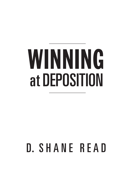# WINNING at DEPOSITION

# D. SHANE READ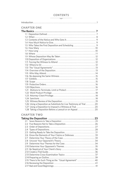# $\begin{tabular}{c} \multicolumn{4}{c|}{\textbf{#} \quad \quad } & \multicolumn{4}{c|}{\textbf{#} \quad \quad } \\ \hline \multicolumn{4}{c|}{\textbf{#} \quad \quad } & \multicolumn{4}{c|}{\textbf{#} \quad \quad } \\ \multicolumn{4}{c|}{\textbf{#} \quad \quad } & \multicolumn{4}{c|}{\textbf{#} \quad \quad } \\ \multicolumn{4}{c|}{\textbf{#} \quad \quad } & \multicolumn{4}{c|}{\textbf{#} \quad \quad } \\ \multicolumn{4}{c|}{\textbf{#} \quad \quad } & \multicolumn{4}{c|}{\$ **Contents**

| <b>CHAPTER ONE</b>                                                    |
|-----------------------------------------------------------------------|
|                                                                       |
|                                                                       |
|                                                                       |
|                                                                       |
|                                                                       |
| 1.5 Who Takes the First Deposition and Scheduling                     |
|                                                                       |
|                                                                       |
|                                                                       |
|                                                                       |
|                                                                       |
|                                                                       |
|                                                                       |
|                                                                       |
|                                                                       |
|                                                                       |
|                                                                       |
|                                                                       |
|                                                                       |
|                                                                       |
|                                                                       |
|                                                                       |
|                                                                       |
|                                                                       |
|                                                                       |
|                                                                       |
| 1.26 Using a Deposition as Substitute for Live Testimony at Trial  20 |
| 1.27 Using a Deposition to Impeach a Witness at Trial  20             |
| 1.28 Taking a Deposition Before a Lawsuit or on Appeal                |

# **Chapter Two**

| 2.6 Know the Elements of Your Claims or Defenses         |  |
|----------------------------------------------------------|--|
|                                                          |  |
|                                                          |  |
|                                                          |  |
|                                                          |  |
|                                                          |  |
|                                                          |  |
|                                                          |  |
|                                                          |  |
| 2.15 There Is No Such Thing as the "Usual Agreement"  40 |  |
|                                                          |  |
|                                                          |  |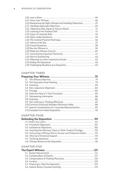| 2.20 Maintaining the Right Attitude and Handling Objections 47<br>2.22 Objections May Signal an Area to Attack  51 |  |
|--------------------------------------------------------------------------------------------------------------------|--|
|                                                                                                                    |  |
|                                                                                                                    |  |
|                                                                                                                    |  |
|                                                                                                                    |  |
|                                                                                                                    |  |
|                                                                                                                    |  |
|                                                                                                                    |  |
|                                                                                                                    |  |
|                                                                                                                    |  |
|                                                                                                                    |  |
|                                                                                                                    |  |
|                                                                                                                    |  |
|                                                                                                                    |  |
|                                                                                                                    |  |
|                                                                                                                    |  |
|                                                                                                                    |  |
|                                                                                                                    |  |

# **Chapter Three**

| 3.10 Common Emotional Mistakes Witnesses Make  88         |  |
|-----------------------------------------------------------|--|
| 3.11 Special Considerations for Corporate Representatives |  |
|                                                           |  |

# **Chapter Four**

| 4.4 Asserting the Attorney-Client or Work Product Privilege110    |
|-------------------------------------------------------------------|
| 4.5 Instructing a Witness Not to Answer and Protective Orders 112 |
|                                                                   |
|                                                                   |
|                                                                   |

# **Chapter Five**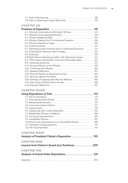# **Chapter Six**

| 6.1 Attorney Conversations with Expert Witness  141             |                                                                                                      |
|-----------------------------------------------------------------|------------------------------------------------------------------------------------------------------|
|                                                                 |                                                                                                      |
|                                                                 |                                                                                                      |
| 6.4 Witness Pretends Not To Understand Question 146             |                                                                                                      |
|                                                                 |                                                                                                      |
|                                                                 |                                                                                                      |
| 6.7 Defending Lawyer Pretends Not to Understand Question. 151   |                                                                                                      |
|                                                                 |                                                                                                      |
|                                                                 |                                                                                                      |
| 6.10 Eight Steps to Resolving Conflict with Opposing Counsel153 |                                                                                                      |
| 6.11 Three Steps to Remember if You Can't Remember Eight 157    |                                                                                                      |
|                                                                 |                                                                                                      |
|                                                                 |                                                                                                      |
|                                                                 |                                                                                                      |
|                                                                 |                                                                                                      |
|                                                                 |                                                                                                      |
|                                                                 |                                                                                                      |
|                                                                 |                                                                                                      |
|                                                                 |                                                                                                      |
|                                                                 |                                                                                                      |
|                                                                 | 6.18 Summary of Inappropriate Attorney Behavior  166<br>6.19 Instructing a Witness Not to Answer 168 |

# **Chapter Seven**

| 7.10 How to Use a Deposition for an Unavailable Witness  188 |  |
|--------------------------------------------------------------|--|
|                                                              |  |
|                                                              |  |
| <b>CHAPTER EIGHT</b>                                         |  |
| Analysis of President Clinton's Deposition  195              |  |
|                                                              |  |
| <b>CHAPTER NINE</b>                                          |  |
| Lessons from Clinton's Grand Jury Testimony 209              |  |
|                                                              |  |
| <b>CHAPTER TEN</b>                                           |  |
| Analysis of Actual Video Depositions 231                     |  |
|                                                              |  |
|                                                              |  |
|                                                              |  |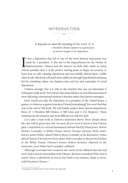# **Introduction**  $\frac{1}{\sqrt{2}}$

 It depends on what the meaning of the word "is" is.  *—President Clinton explains to a grand jury an answer he gave in his deposition.*

It was a deposition that led to one of the most famous statements ever made by a president. It also led to his impeachment by the House of Representatives. Clinton and the lawyers on both sides made so many critical mistak t was a deposition that led to one of the most famous statements ever made by a president. It also led to his impeachment by the House of **Representatives.** Clinton and the lawyers on both sides made so many learn how to take winning depositions and successfully defend them. Unlike other books, this book will teach these skills not through hypothetical situations but by examining videos (see chapters nine and ten) and transcripts of actual depositions.

I believe strongly that it is only in the trenches that you can determine if techniques really work. You will see that many failures occurred because lawyers were following conventional wisdom's theories rather than proven strategies.

How would you take the deposition of a president of the United States, a genius, or a famous acquitted murderer? Sound intimidating? You won't feel that way at the end of this book. We will mainly analyze three famous depositions, those of 1) President Bill Clinton, 2) Bill Gates and 3) O.J. Simpson.<sup>1</sup> These witnesses are the smartest and most difficult you will ever find.

Let's take a close look at Clinton's statement above. More details about the case will be given later but, for now, all you need to know is that Clinton gave a deposition in a sexual harassment lawsuit filed by Paula Jones. Before Monica Lewinsky (a White House intern) became famous, Paula Jones' lawyer, James Fisher, asked Clinton about Lewinsky at his deposition. Fisher asked Clinton if he had ever been alone with Lewinsky in the private kitchen at the White House. Clinton's lawyer, Robert Bennett, objected to the innuendo, since Fisher had Lewinsky's affidavit.

Although Lewinsky later recanted, she swore in the affidavit that she had never had a sexual relationship with Clinton. Bennett reminded Fisher that it stated "there *is* absolutely no sex of any kind in any manner, shape or form, with President Clinton."

<sup>1</sup> Summaries of all three trials can be found in the Appendix.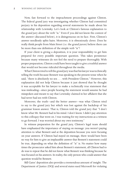Now, fast forward to the impeachment proceedings against Clinton. The federal grand jury was investigating whether Clinton had committed perjury in his deposition regarding several statements he made about his relationship with Lewinsky. Let's look at Clinton's famous explanation to the grand jury about the verb "is." Even if you did not know the context of the answer (discussed below), it is disingenuous on its face. First, Clinton's answer needlessly splits hairs. Moreover, it is obnoxiously clever. Does he really think people from Main Street (i.e. the grand jurors) believe there can be more than one definition of the simple verb "is"?

If your client is giving a deposition, it is your responsibility to get him prepared for every possible important question. This takes persistence because many witnesses do not feel the need to prepare thoroughly. With proper preparation, Clinton could have been taught to give a truthful answer that would not become ridiculed throughout the media.

What Clinton tried to tell the grand jury was that his lawyer was technically telling the truth because Bennett was speaking in the present tense when he said, "there is absolutely no sex . . . with President Clinton." However, this explanation did not help Clinton because it just showed that he thought it was acceptable for his lawyer to make a technically true statement that was misleading—since people hearing the statement would assume he had misspoken and meant to say that Lewinsky claimed in her affidavit that she had never had sex with Clinton.

Moreover, the truth—and the better answer—was what Clinton tried to say to the grand jury but which was lost against the backdrop of his grammar lesson answer. That is, Clinton told the grand jury that "I don't know what Mr. Bennett had in his mind. I don't know. I didn't pay attention to this colloquy that went on. I was waiting for my instructions as a witness to go forward. I was worried about my own testimony."

In witness preparation for the grand jury, Clinton's legal team should have emphasized the importance of staying on message: you weren't paying attention to what Bennett said at the deposition because you were focusing on your answers. If Clinton had stayed on message, there would have been no way for him to give an implausible answer that Bennett's statement could be true, depending on what the definition of "is" is. No matter how many times the prosecutor asked him about Bennett's statement, all Clinton had to do was to repeat that he did not know what Bennett was thinking because he was focused on his answers. In reality, the only person who could answer that question would be Bennett.

Bill Gates' deposition also provides a tremendous amount of insight. The Department of Justice (DOJ) and several states sued Microsoft for violating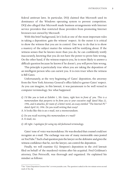federal antitrust laws. In particular, DOJ claimed that Microsoft used its dominance of the Windows operating system to prevent competition. DOJ also alleged that Microsoft made business arrangements with Internet service providers that restricted those providers from promoting Internet browsers not owned by Microsoft.

With this brief background, let's look at one of the most important rules in taking a deposition: gain the witness' respect. At the outset it is critical to show the witness that you are in control. One way to do that is to show a mastery of the subject matter the witness will be testifying about. If the witness senses that he knows more than you do, he can confidently testify inaccurately, knowing that you do not have the power to prove him wrong. On the other hand, if the witness respects you, he is more likely to answer a difficult question because he knows if he doesn't, you will prove him wrong.

This principle is particularly true when you are taking the deposition of an intelligent person who can outwit you. It is even truer when the witness is Bill Gates.

Unfortunately, at the very beginning of Gates' deposition, the attorney from the New York Attorney General's office failed to garner Gates' respect. As you can imagine, in this lawsuit, it was paramount to be well versed in computer terminology. See what happened.

- *Q. I'd like you to look at Exhibit 1, Mr. Gates, right here in front of you. This is a memorandum that purports to be from you to your executive staff dated May 22, 1996, and it attaches, for want of a better word, an essay entitled "The Internet PC" dated April 10, 1996. Do you recall writing that essay?*
- A. It looks like this is an e-mail, not a memorandum.
- *Q. Do you recall receiving this memorandum or e-mail?*

A. E-mail, no.

*Q. All right. I apologize for using my old-fashioned terminology.* 

Gates' tone of voice was incredulous. He was shocked that counsel could not recognize an e-mail. The exchange was one of many memorable ones posted on YouTube.2 Such a bad question puts the lawyer on the defensive and gives the witness confidence that he, not the lawyer, can control the deposition.

Finally, we will examine O.J. Simpson's deposition in the civil lawsuit filed on behalf of the murdered victims after his acquittal. Fred Goldman's attorney, Dan Petrocelli, was thorough and organized. He explained his mindset as follows:

<sup>2</sup> See "Gates Deposition Greatest Hits" at www.youtube.com. The question is asked at the two minute seven second mark of the clip.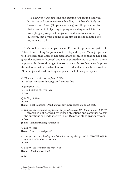If a lawyer starts objecting and pushing you around, and you let him, he will continue the manhandling to his benefit. Early on, I wanted both Baker [Simpson's attorney] and Simpson to realize that no amount of objecting, arguing, or evading would deter me from plugging away, that Simpson would have to answer all my questions, that I wasn't going to let him off the hook until I got my answers  $\ldots$  .<sup>3</sup>

Let's look at one example where Petrocelli's persistence paid off. Petrocelli was asking Simpson about his illegal drug use. Many people had told Petrocelli that Simpson had used drugs, so much so that he had been given the nickname "Hoover" because he snorted so much cocaine.4 It was important for Petrocelli to get Simpson to deny this so that he could prove through other witnesses that Simpson had lied under oath at his deposition. After Simpson denied smoking marijuana, the following took place.

*Q. Were you a cocaine user in June of 1994?*

A. [Baker (Simpson's lawyer)] Don't answer that.

A. [Simpson] No. *Q. The answer is you were not?*

A. No.

*Q. In May of 1994?*

A. No.

[Baker] That's enough. Don't answer any more questions about that.

*Q. Did you take cocaine at any time in the period January 1994 through June 12, 1994?*  [Petrocelli is not deterred by Baker's objections and continues to ask the questions he needs answers to until Simpson stops giving answers.]

A. No.

[Baker] I am instructing you not to—

*Q. Did you take—*

[Baker] Am I a potted plant?

*Q. Did you take any kind of amphetamines during that period?* [Petrocelli again ignores Simpson's attorney]

A. No.

*Q. Did you use cocaine in the year 1993?* [Baker] Don't answer that!

*A. No.*

<sup>3</sup> Daniel Petrocelli, *Triumph of Justice* 119 (Crown 1998). <sup>4</sup> *Id*. at 139.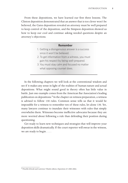From these depositions, we have learned our first three lessons. The Clinton deposition demonstrated that an answer that is too clever won't be believed, the Gates deposition revealed an attorney must be well prepared to keep control of the deposition, and the Simpson deposition showed us how to keep our cool and continue asking needed questions despite an attorney's objections.

# **Remember**

- 1. Getting a disingenuous answer is a success since it won't be believed.
- 2. To get information from a witness, you must gain his respect by being well-prepared.
- 3. You must stay calm and focused no matter what opposing counsel does.

In the following chapters we will look at the conventional wisdom and see if it makes any sense in light of the realities of human nature and actual depositions. What might sound good in theory often has little value in battle. Just one example comes from the American Bar Association's leading publication on depositions.<sup>5</sup> In the chapter on witness preparation, a witness is advised to follow 130 rules. Common sense tells us that it would be impossible for a witness to remember ten of these rules, let alone 130. Yet, many lawyers continue to inundate their witnesses with rules that simply overwhelm them. Witnesses become ineffective advocates because they are more worried about following a rule than defending their position during questioning.

Get ready to learn new techniques and strategies that will improve your deposition skills dramatically. If the court reporter will swear in the witness, we are ready to begin . . . .

<sup>5</sup> Priscilla Schwab and Lawrence Vilardo editors, *Depositions* 65 (ABA 2006).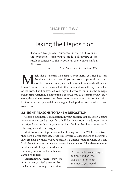# **Chapter Two**  $\frac{1}{\sqrt{2}}$

# Taking the Deposition

There are two possible outcomes: if the result confirms the hypothesis, then you've made a discovery. If the result is contrary to the hypothesis, then you've made a discovery.

*—Enrico Fermi, Nobel Prize winner for Physics in 1938*

We uch like a scientist who tests a hypothesis, you need to test<br>the theory of your case. If you represent a plaintiff and your<br>case becomes stronger, such a finding will obviously affect the<br>lawsuit's value. If you uncove the theory of your case. If you represent a plaintiff and your case becomes stronger, such a finding will obviously affect the lawsuit's value. If you uncover facts that undercut your theory, the value of the lawsuit will be less, but you may find a way to minimize the damage before trial. Generally, a deposition is the best way to determine your case's strengths and weaknesses, but there are occasions when it is not. Let's first look at the advantages and disadvantages of a deposition and then learn how to take one.

# **2.1 eight Reasons to Take a Deposition**

Cost is a significant consideration in your decision. Expenses for a court reporter can exceed \$1,000 for a half-day deposition. In addition, there is a significant burden on your time. Let's look in detail at a deposition's advantages and disadvantages.

Most lawyers see depositions as fact-finding exercises. While this is true, they have a larger purpose. Great trial lawyers use depositions to determine how credible a witness will be at trial. It is a unique situation where you can look the witness in the eye and assess his demeanor. This determination

is critical to deciding the settlement value of your case and whether you should go to trial.

Unfortunately, there may be times when you feel pressure from a client to save money by not taking You can't rely on a colleague to frame and ask the question in the same manner as you would.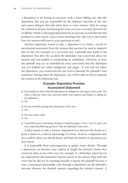a deposition or by having an associate with a lower billing rate take the deposition. But you are responsible for the ultimate outcome of the case and cannot delegate this task when there is a key witness. Only by seeing the witness in person and hearing his story can you accurately perceive his credibility. While a videotaped deposition by an associate would alleviate this problem to some extent, a face-to-face meeting is the only way to determine how the witness will react to your questions at trial.

Another important reason to take a deposition is to build a record of inconsistent statements from the witness that can later be used to impeach him at trial. For example, in a car wreck case, a plaintiff may testify in his deposition that after the accident the defendant was concerned about his injuries and was helpful in summoning an ambulance. However, at trial, the plaintiff may try to embellish his story and testify that the defendant was not helpful but rather belligerent and angry. If you had not taken the deposition, you would lack the one tool to discredit the plaintiff 's trial testimony. Having taken the deposition, you will be able at trial to impeach the witness in the following way.

# **Example: Deposition Provides Inconsistent Statement**

*Q. You testified on direct that the defendant was belligerent and angry at the scene. The truth is that my client was concerned about your injuries and helped in calling for an ambulance.*

A. No.

*Q. Do you remember giving your deposition in this case.* 

A. Yes.

*Q. You were under oath?*

A. Yes.

*Q. I would like you to read along silently as I read from page 17 line 2. Isn't it a fact, you were asked the following question? Was the defendant concerned . . . .*

A third reason to take a witness' deposition is to discover the details of a party's claims or a witness' knowledge of events. In short, a deposition lets you confirm what you already know and find out answers to questions you don't know.

It is impossible from interrogatories to gather many details. Through a deposition, an attorney may explore at length the lawsuit's claims that cannot be done in any other way. For example, if a defendant supervisor in an employment discrimination lawsuit asserts in his answer filed with the court that he did not do anything sexually to harass the plaintiff because it was a consensual relationship, only through a deposition can the plaintiff 's attorney discover the detailed answers regarding the claimed consent. A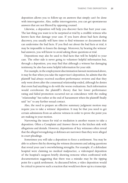deposition allows you to follow-up on answers that simply can't be done with interrogatories. Also, unlike interrogatories, you can get spontaneous answers that are not filtered by opposing counsel.

Likewise, a deposition will help you discover facts that hurt your case. The last thing you want is to be surprised at trial by a credible witness who knows facts that damage your case. If you learn about bad facts during discovery, you usually will have time to find witnesses or documents that can undermine the bad facts. If you find out about the bad facts at trial, it may be impossible to lessen the damage. Moreover, by hearing the witness' bad answers, you will know to avoid asking those questions at trial.

Depositions may also be used to find facts that will be helpful to your case. The other side is never going to volunteer helpful information but, through a deposition, you may find that although a witness has damaging testimony, he also has some helpful information for your side.

For example, in the employment discrimination lawsuit mentioned above, it may be that when you take the supervisor's deposition, he admits that the plaintiff had *always* received excellent performance reviews and that they only went down after the consensual relationship ended, although he denies that event had anything to do with the worse evaluations. Such information would corroborate the plaintiff's theory that her lower performance rating and failed promotion occurred not as coincidence with the ending "relationship" but rather at the end of harassment when the plaintiff finally said "no" to any further sexual contact.

Also, the need to prepare an effective summary judgment motion may require you to take a witness' deposition. It may be that you need to get certain admissions from an adverse witness in order to prove the point you are making in your motion.

Narrowing the issues for trial or mediation is another reason to take a deposition. Often a Complaint and Answer throw in the kitchen sink with allegations and denials. However, depositions of key witnesses often reveal that the alleged wrongdoing or defenses are narrower than they were alleged in court pleadings.

Sometimes you will take a deposition to force a settlement. You may be able to achieve this by showing the witness documents and asking questions that reveal your case's overwhelming strengths. For example, if a defendant hospital were claiming no medical malpractice, a videotaped deposition of the hospital's surgeon briefly showing remorse when confronted with documentation suggesting that there was a mistake may be the tipping point for a quick settlement. As discussed below, a video deposition would be critical to preserve such a reaction that would not show up in a transcript.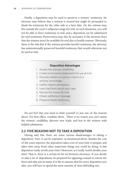Finally, a deposition may be used to preserve a witness' testimony. An attorney may believe that a witness is neutral but might be persuaded to shade his testimony for the other side at a later date. Or, the witness may live outside the court's subpoena range for trial. In such situations, you will not be able to force testimony at trial, and a deposition can be substituted for trial testimony. Preservation may also be necessary if the attorney fears that the witness won't be available for trial due to health reasons. Obviously, there is the risk that if the witness provides hurtful testimony, the attorney has unintentionally preserved harmful testimony that would otherwise not be used at trial.

### **Deposition Advantages**

- 1. Assess the witness' credibility.
- 2. Create inconsistent statements for use at trial.
- 3. Discover details of a party's claims or a witness' knowledge.
- 4. Gather helpful admissions.
- 5. Learn bad facts about your case.
- 6. Narrow the issues for trial.
- 7. Obtain settlement leverage.
- 8. Preserve helpful testimony.

Do not feel that you need to limit yourself to just one of the reasons above. For best effect, combine them. There is no reason you can't assess the witness' credibility, discover new leads, and box in the witness with helpful admissions.

# **2.2 Five Reasons Not to Take a Deposition**

Having said this, there are some serious disadvantages to taking a deposition. First, it can be expensive, as mentioned above. Besides the cost of the court reporter, the deposition takes a lot of your time to prepare and takes time away from other important things you could be doing. Is this deposition really worth your time? Moreover, is it really worth double your time? That is, there is a certain tit for tat between attorneys. If you decide to take a lot of depositions, be prepared for opposing counsel to return the favor and take just as many. It is fair to assume that for every deposition you take, you will have to spend the same amount of time defending one.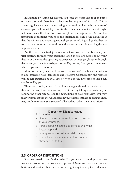In addition, by taking depositions, you force the other side to spend time on your case and, therefore, to become better prepared for trial. This is a very significant drawback to taking a deposition. Through the witness' answers, you will inevitably educate the other side about details it might not have taken the time to learn except for the deposition. But for the important depositions, you need the information even if the downside is that the witness and opposing counsel get educated. A good guide, then, is to take only important depositions and not waste your time taking the less important ones.

Another downside to depositions is that you will necessarily reveal your trial strategy through your questions. Even if you are subtle about your theory of the case, the opposing attorney will at least get glimpses through the topics you cover in the deposition and by sensing from your mannerisms which topics seem important.

Moreover, while you are able to assess the witness' credibility, the witness is also assessing your demeanor and strategy. Consequently, the witness will be less surprised at trial, since it won't be the first time he has been confronted by you.

These facts aside, none of the disadvantages should carry the day by themselves except for the most important one: by taking a deposition, you remind the other side to take the depositions of your witnesses. You may inadvertently expose the weaknesses in your witnesses that opposing counsel may not have otherwise discovered if he had not taken their depositions.

### **Deposition Disadvantages**

- 1. Expensive.
- 2. Reminds opposing counsel to take depositions of your witnesses.
- 3. Forces opposing counsel to come to trial much better prepared.
- 4. Your questions reveal your trial strategy.
- 5. The witness can assess your demeanor and strategy prior to trial.

# **2.3 Order of Depositions**

First, you need to decide the order. Do you want to develop your case from the ground up, or from the top down? Most attorneys start at the bottom and work up, but there is no one right way that applies to all cases.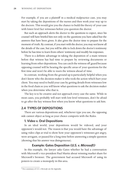For example, if you are a plaintiff in a medical malpractice case, you may start by taking the depositions of the nurses and then work your way up to the doctors. This would give you the chance to build the theory of your case with lower level fact witnesses before you question the doctor.

But such an approach alerts the doctor to the questions to expect, since his counsel will have briefed him not only on the questions you have asked but the answers that have been given. It also gives the doctor time to prepare for the moment of truth. By contrast, if you start with the doctor, you may not know all the details of the case, but you will be able to lock down the doctor's testimony before he has time to learn from others' testimony and modify his responses.

There is a definite advantage in taking the deposition of a main witness before that witness has had time to prepare by reviewing documents or learning from other depositions. You can catch the witness off guard because opposing counsel will be hearing the specific areas of your questions for the first time and won't be able to warn the witness ahead of time.

In contrast, working from the ground up is particularly helpful when you don't know who the decision-maker is who took the action which hurt your client. You may need to build your case by getting details from witnesses low in the food chain so you will know what questions to ask the decision-maker when you determine who that is.

The key is to be creative and not approach every case the same. While in most cases, you probably will start with low-level witnesses, don't be afraid to go after the key witness first when you know what questions to ask him.

# **2.4 Types of Depositions**

There are various depositions and, whichever type you use, the opposing side cannot object as long as your choice comports with the Rules.

# **1. Video v. Oral Depositions**

In an ideal world, your depositions would be videoed, and your opponent's would not. The reason is that you would have the advantage of using video clips at trial to show how your opponent's witnesses got angry, were arrogant, or paused for a long time before answering a simple question (showing that his answer was disingenuous).

# **Example: Gates Deposition (***U.S. v. Microsoft***)**<sup>1</sup>

In this example, the lawyer asks Gates whether he had a conversation with Microsoft's vice-president Paul Maritz about winning market share for Microsoft's browser. The government had accused Microsoft of using its powers to create a monopoly in this area.

<sup>1</sup> For a summary of *U.S. v. Microsoft*, see the Appendix.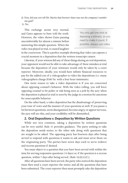*Q. Now, did you ever tell Mr. Maritz that browser share was not the company's number one goal?*

A. No.

This exchange seems very normal, and Gates appears to have told the truth. However, the video shows Gates pausing uncomfortably for almost a minute before answering this simple question. When the video was played at trial, it caused laughter

You only get one shot at deposing a witness, so you need to make it count. If possible, always use video.

in the courtroom. This is a perfect example showing that video can capture a crucial moment in a deposition that the written transcript cannot.

Likewise, if your witness did any of these things during an oral deposition, your opponent would not be able to take advantage of these mistakes at trial because the deposition of your witnesses would only be taken by a court reporter. Moreover, ideally, you would have infinite financial resources to pay for the added cost of a videographer to video the depositions (i.e. many videographers charge \$100/hr. with a four hour minimum).

One more reason to take a video deposition is if you are concerned about opposing counsel's behavior. With the video rolling, you will force opposing counsel to be polite or risk being seen as a jerk by the jury when the deposition is played at trial or seen by the judge in a motion for sanctions for unacceptable behavior.

On the other hand, a video deposition has the disadvantage of preserving your tone of voice and the manner of your questions as well. If you pause a lot between questions, seem disorganized, become angry, or appear nervous, the jury will see this, and your credibility will be diminished.

# **2. Oral Depositions v. Deposition by Written Questions**

While not very common, taking a deposition by written questions can be very useful. Rule 31 provides guidance. The party seeking to take the deposition sends notice to the other side along with questions that are sought to be asked. The opposing party has fourteen days after being served to respond with questions it wants to ask and must serve those on the originating party. The parties have seven days each to serve redirect and recross questions if desired.

You must object to a question that you have been served with within the time for serving responsive questions (14 days) or, if the question is a recross question, within 7 days after being served. (Rule  $32(d)(3)(C)$ ).

After all questions have been served, the party who noticed the deposition must then send a court reporter the notice and all the questions that have been submitted. The court reporter then must promptly take the deposition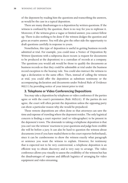of the deponent by reading him the questions and transcribing the answers, as would be the case in a typical deposition.

There are many disadvantages to a deposition by written questions. If the witness is confused by the question, there is no way for you to rephrase it. Moreover, if the witness gives a vague or limited answer, you cannot follow up. There is also nothing to be done if the witness dodges the question and gives an evasive answer. You will also give the other side the opportunity to draft questions carefully in response to yours.

Nonetheless, this type of deposition is useful in getting business records admitted at trial. For example, you could issue a Notice of Deposition By Written Questions with a subpoena duces tecum (a request for documents to be produced at the deposition) to a custodian of records at a company. The questions you would ask would be those to qualify the documents as business records so that they could be admissible at trial under the business record exception to the hearsay rule. You could also instruct the witness to sign a declaration to the same effect. Then, instead of calling the witness at trial, you could offer the deposition as substitute testimony or the accompanying declaration and documents under Federal Rule of Evidence 902(11) by providing notice of your intent prior to trial.

# **3. Telephone or Video Conferencing Depositions**

You may take a deposition by telephone or video conference if the parties agree or with the court's permission (Rule  $30(b)(4)$ ). If the parties do not agree, the court will often permit the deposition unless the opposing party can show a particular reason why she would be prejudiced.

These remote depositions are often done so that attorneys can save the time and expense of traveling where the deponent resides. The only logistical concern is finding a court reporter (and/or videographer) to be present in the deponent's town. The downside to taking a telephone deposition is that you can't see the witness' reactions to your questions and judge how credible she will be before a jury. It can also be hard to question the witness about documents (even if you have mailed them to the court reporter beforehand), since it can be cumbersome to show the witness exactly what paragraph or sentence you want the witness to explain. However, for testimony that is expected not to be very controversial, a telephone deposition is an efficient way to obtain discovery and is very easy to arrange. The video conference allows you visually to assess the credibility of the witness but has the disadvantages of expense and difficult logistics of arranging for video equipment and video streaming.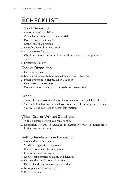# **MCHECKLIS**

# Pros of Deposition

- 1. Assess witness' credibility.
- 2. Create inconsistent statements for trial.
- 3. Discover important details.
- 4. Gather helpful admisions.
- 5. Learn bad facts about your case.
- 6. Narrow issues for trial.
- 7. Obtain settlement leverage if your witness is good or opponent is bad.
- 8. Preserve testimony.

# Cons of Deposition

- 1. Increases expenses.
- 2. Reminds opponent to take depositions of your witnesses.
- 3. Forces opponent to prepare for trial sooner.
- 4. Reveals your trial strategy.
- 5. Causes witness to be more comfortable on cross at trial.

# Order

- 1. It's usually better to start with most important witness to catch him off guard.
- 2. Start with low-level witnesses if you are unsure of the important facts in your case, and you need to gather information.

# Video, Oral or Written Questions

- 1. Video is always better if you can afford it.
- 2. Deposition by written question is inexpensive way to authenticate business records for trial.

# Getting Ready to Take Deposition

- 1. Review client's documents.
- 2. Send interrogatories to opponent.
- 3. Request documents from opponent.
- 4. Interview main witnesses.
- 5. Know legal elements of claims and defenses.
- 6. Uncover theory of case for both sides.
- 7. Determine themes of case for both sides.
- 8. Be skeptical of client's story.
- 9. Prepare outline.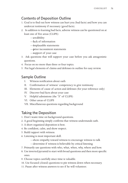# Contents of Deposition Outline

- 1. Goal is to find out how witness can hurt you (bad facts) and how you can undercut testimony if necessary (good facts).
- 2. In addition to learning bad facts, adverse witness can be questioned on at least one of five areas (CLIPS):
	- —**c**redibility
	- —**l**ack of information
	- —**i**mplausible statements
	- —**p**rior inconsistent statements
	- —**s**upport of your case
- 3. Ask questions that will support your case before you ask antagonistic questions.
- 4. Focus on no more than three or four topics.
- 5. Put legal elements of claims and defenses in outline for easy review.

# Sample Outline

- I. Witness notification about oath
- II. Confirmation of witness' competency to give testimony
- III. Elements of cause of action and defenses (for your reference only)
- IV. Discover bad facts about your case
- V. Helpful admissions (the "S" of CLIPS)
- VI. Other areas of CLIPS
- VII. Miscellaneous questions regarding background

# Taking the Deposition

- 1. Don't waste time on background questions.
- 2. A good beginning simply confirms that witness understands oath.
- 3. A short organized deposition is best.
- 4. Be confident, calm, and show respect.
- 5. Build rapport with witness.
- 6. Listening is most important skill.
	- —show empathy toward witness to encourage witness to talk
	- —determine if witness is believable by critical listening
- 7. Primarily use questions with who, what, when, why, where and how.
- 8. Use inverted pyramid to start with broad questions and then more specific ones.
- 9. Choose topics carefully since time is valuable.
- 10. Use focused (closed) questions to pin witness down when necessary.
- 11. Pause after witness answers to see if he will volunteer.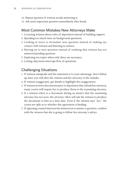- 12. Repeat question if witness avoids answering it.
- 13. Ask most important question immediately after break.

# Most Common Mistakes New Attorneys Make

- 1. Lecturing witness about rules of deposition instead of building rapport.
- 2. Spending too much time on background questions.
- 3. Looking at notes to formulate next question instead of making eye contact with witness and listening to answer.
- 4. Moving on to next question instead of realizing that witness has not answered pending question.
- 5. Exploring ten topics when only three are necessary.
- 6. Letting objections interrupt flow of questions.

# Challenging Situations

- 1. If witness misspeaks and the statement is to your advantage, don't follow up since you will alert the witness and her attorney to the mistake.
- 2. If witness exaggerates, get details to highlight the exaggeration.
- 3. If witness reviews documents prior to deposition that refresh her memory, many courts will require her to produce them to the examining attorney.
- 4. If a witness refers to a document during an answer that the examining attorney has not seen, the attorney often will ask the witness to produce the document to him at a later date. Even if the witness says "yes," the courts are split as to whether this agreement is binding.
- 5. If opposing counsel instructs his witness not to answer a question, confirm with the witness that she is going to follow her attorney's advice.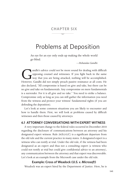# **Chapter Six**  $\frac{1}{\sqrt{2}}$

# Problems at Deposition

An eye for an eye only ends up making the whole world go blind.

 *—Mohandas Gandhi*

andhi's advice could not be more sound for dealing with difficult opposing counsel and witnesses. If you fight back in the same way that you are being attacked, nothing will be accomplished. However, Gandhi did not simply opposing counsel and witnesses. If you fight back in the same way that you are being attacked, nothing will be accomplished. However, Gandhi did not simply preach passive resistance at all costs. He also declared, "All compromise is based on give and take, but there can be no give and take on fundamentals. Any compromise on mere fundamentals is a surrender. For it is all give and no take." You need to strike a balance. Compromise only as long as you can still gather the information you need from the witness and protect your witness' fundamental rights (if you are defending the deposition).

Let's look at some common situations you are likely to encounter and how to handle them. First, we will look at problems caused by difficult witnesses and then those caused by attorneys.

# **6.1 Attorney Conversations with Expert Witness**

A very important change to the federal rules occurred in December 2010 regarding the disclosure of communications between an attorney and his designated expert witness. Rule  $26(b)(4)(C)$  is a significant departure from the old rule and the current practice in many states. A designated expert is a witness who can testify at trial. Under the old rule, if the witness had been designated as an expert and thus not a consulting expert (a witness who could not testify at trial but could give confidential advice to an attorney), any communication between the attorney and that expert was discoverable. Let's look at an example from the Microsoft case under the old rule.

# **Example: Cross of Weadock (***U.S. v. Microsoft***)**

Weadock was an expert hired by the Department of Justice. Here, he is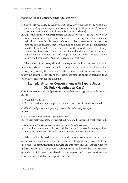being questioned at trial by Microsoft's attorney.

- *Q. Over the last year, has any Department of Justice lawyer ever expressed appreciation for your willingness to conform your views to those of the Department of Justice's?*  [seeks communication not protected under old rule]
- A. Quite the contrary, Mr. Pepperman. As a matter of fact, I made it very clear as a condition of employment when we were having these discussions in —I believe it was October—early October of last year—that if they were to hire me as a consultant, that I would not be bound by any preconceptions and that I would be free to call things as I see them. And, in fact, it's—it's my opinion as a businessman and as a consultant, that that's the greatest value a consultant has to a client, is to call things as they see them. They said, "that's all we want you to do." And they hired me on that basis.

The Microsoft attorney should have expected such an answer. It should not be surprising that an expert who is being paid a lot of money by one side is not going to help the other side with an answer that hurts his client. The following example (not from the Microsoft case) is another scenario that often took place under the old rule.

# **Example: Attorney Conversations with Expert Under Old Rule (Hypothetical Case)**

*Q. Did you meet with Mr. Dodge [defense attorney] this morning prior to the deposition?* A. Yes.

*Q. What did you discuss?*

A. We discussed my expert report and the expert report from the other side.

*Q. Did Mr. Dodge mention to you any concerns he had about your report?* A. No.

*Q. Describe in more detail what you talked about.*

A. We essentially discussed my report in brief, and I reaffirmed what I said in it.

- *Q. Did you and Mr. Dodge discuss what questions I might ask you?*
- A. None that I remember. He just said that I would get asked some questions about my report and plaintiff 's report, and he told me to tell the truth.

While under the old federal rule and many current state rules, these scenarios occurred often, the new federal rule specifically protects from disclosure communications between an attorney and his expert witness unless it relates to 1) the expert's compensation, 2) facts or data the attorney provided which were considered by the expert, and 3) assumptions the attorney provided that the expert relied on.<sup>1</sup>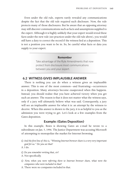Even under the old rule, experts rarely revealed any communications despite the fact that the old rule required such disclosure. Now, the rule protects many of those disclosures. But be aware that an opposing attorney may still discover communications such as facts and assumptions supplied to the expert. Although it is highly unlikely that your expert would reveal these facts under the new rule (see practices under the old rule above), you would still have a duty to correct the record if the witness lied at a deposition. This is not a position you want to be in. So, be careful what facts or data you supply to your expert.

#### **Remember**

Take advantage of the Rule Amendments that now protect from disclosure most communications between you and your expert.

# **6.2 Witness Gives Implausible Answer**

There is nothing you can do when a witness gives an implausible answer. This is one of the most common—and frustrating—occurrences in a deposition. Many attorneys become exasperated when this happens. Instead, you should realize that you have achieved victory when you get such an answer. The reason is that it does not matter what the witness says, only if a jury will ultimately believe what was said. Consequently, a jury will see an implausible answer for what it is: an attempt by the witness to deceive. When this answer is shown to the jury, it is as helpful to you as the admission you were trying to get. Let's look at a few examples from the Gates deposition.

# **Example: (Gates Deposition)**

In this example, Boies is showing Gates an e-mail he wrote to a subordinate on Jan. 5, 1996. The Justice Department was accusing Microsoft of attempting to monopolize the market for Internet browsing.

*Q. And the first line of this is, "Winning Internet browser share is a very very important goal for us." Do you see that?*

A. I do.

- *Q. Do you remember writing that, sir?*
- A. Not specifically.
- *Q. Now, when you were referring there to Internet browser share, what were the companies who were included in that?*
- A. There were no companies included in that.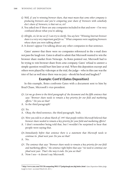- *Q. Well, if you're winning browser share, that must mean that some other company is producing browsers and you're comparing your share of browsers with somebody else's share of browsers; is that not so, sir?*
- A. You asked me if there are any companies included in that and now—I'm very confused about what you're asking.
- *Q. Allright, sir, let me see if I can try to clarify. You say here "Winning Internet browser share is a very very important goal for us." What companies were supplying browsers whose share you were talking about?*
- A. It doesn't appear I'm talking about any other companies in that sentence.

Gates' answer that there were no companies referenced in the e-mail does not pass the laugh test. Gates is afraid to admit that Microsoft wanted to win the browser share market from Netscape. As Boies pointed out, Microsoft had to be trying to win browser share from *some* company. Gates' refusal to answer a simple question would hurt him later at trial. When this deposition excerpt and others were played by videotape at the trial, the judge—who in this case was the trier of fact as well since there was no jury—shook his head and laughed.2

# **Example: Cont'd (Gates Deposition)**

In this example, Boies confronts Gates with a document sent to him by Brad Chase, Microsoft's vice-president.

- *Q1. Let me go down to the third paragraph of the document and the fifth sentence that says "Browser share needs to remain a key priority for our field and marketing efforts." Do you see that?*
- A. In the third paragraph?

*Q2. Yes.*

- A. Okay, the third sentence, the third paragraph. Yeah.
- *Q3.Were you told in or about March of 1997 that people within Microsoft believed that browser share needed to remain a key priority for your field and marketing efforts?*
- A. I don't remember being told that, but I wouldn't be surprised to hear that people were saying that.
- *Q4.Immediately before that sentence there is a statement that Microsoft needs to continue its jihad next year. Do you see that?*
- A. No.
- *Q5. The sentence that says "Browser share needs to remain a key priority for our field and marketing efforts," the sentence right before that says "we need to continue our jihad next year. That's the way it ends. Do you see that?*
- A. Now I see—it doesn't say Microsoft.

<sup>2</sup> **http://www.cnn.com/TECH/computing/9811/17/judgelaugh.ms.idg/index.html**. *Gates Deposition Makes Judge Laugh in Court*. (accessed March 20, 2011.)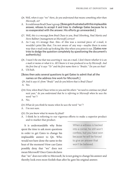- *Q6. Well, when it says "we" there, do you understand that means something other than Microsoft, sir?*
- A. It could mean Brad Chase's group. [Boies gets frustrated with this implausible answer, refuses to accept it and tries to challenge Gates because he is so exasperated with the answer. His efforts go unrewarded.]
- *Q7. Well, this is a message from Brad Chase to you, Brad Silverberg, Paul Maritz and Steve Ballmer [management at Microsoft] correct?*
- A. As I say, it's strange that. this—if this was a normal piece of e-mail, it wouldn't print like that. I'm not aware of any way—maybe there is some way that e-mail ends up looking like this when you print it out. [Gates now tries to dodge the question completely by questioning the document's authenticity]
- *Q8. I wasn't the one that was asserting it was an e-mail. I don't know whether it is an e-mail or memo or what it is. All I know is it was produced to us by Microsoft. And the first line of it says "To" and the first name there is "Bradsi." Do you see that?*
- A. Uh-huh.

# [Boies then asks several questions to get Gates to admit that all the names on the address line work for Microsoft.]

- *Q9.And it says it's from "Bradc" and do you believe that is Brad Chase?*
- A. Yes.
- *Q10.Now, when Brad Chase writes to you and the others "we need to continue our jihad next year," do you understand that he is referring to Microsoft when he uses the word "we"?*
- A. No.
- *Q11.What do you think he means when he uses the word "we"?*
- A. I'm not sure.

#### *Q12. Do you know what he means by jihad?*

A. I think he is referring to our vigorous efforts to make a superior product and to market that product.

It is understandable why Boise spent the time to ask more questions in order to get Gates to change his implausible answer to Q6. Who would not have done the same in the heat of the moment? How can Gates possibly deny that "we" does not mean Microsoft? Once Gates declares

When a witness is backed into a corner, he still won't confess, but you have won because he will be forced to give an answer that won't be believed.

that "we" does not refer to Microsoft, he is not going to change his answer and thereby look even more foolish than after he gave his original answer.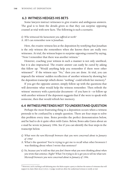# **6.3 Witness Hedges His Bets**

Some lawyers instruct witnesses to give evasive and ambiguous answers. The goal is to limit the details given so that they can surprise opposing counsel at trial with new facts. The following is such a scenario.

#### *Q. Who witnessed the harassment you suffered at work?* A. All I can remember now is Jonathan.

Here, the evasive witness lies at the deposition by testifying that Jonathan is the *only* witness she remembers when she knows there are really two witnesses. At trial, the witness hopes to surprise opposing counsel by saying, "Now I remember that there was another witness."

However, coaching your witness in such a manner is not only unethical, but it is also impractical. The evasive answer can easily be cured by asking this follow up: "Would anything help you remember if there were other witnesses?" If the witness says "No," then you are done. At trial, you can impeach the witness' sudden recollection of another witness by showing her the deposition transcript which shows "nothing" could refresh her memory.<sup>3</sup>

If you get the opposite answer, simply follow up with the questions that will determine what would help the witness remember. Then refresh the witness' memory with a particular document—if you have it—or follow up with another witness if the deponent suggests that if she were to speak with someone, then that would refresh her memory.

# **6.4 Witness Pretends Not To Understand Question**

Perhaps the most frustrating thing in a deposition occurs when a witness pretends to be confused by a simple question. There are four steps to solve this problem every time. Boies provides the perfect demonstration below, and he had to do it quite often with Gates. Below, Boies asks Gates about an e-mail he wrote in January 1996. See if you can identify the four steps in the transcript below.

- *Q. What were the non-Microsoft browsers that you were concerned about in January of 1996?*
- A. What's the question? You're trying to get me to recall what other browsers I was thinking about when I wrote that sentence?
- *Q. No, because you've told me that you don't know what you were thinking about when you wrote that sentence. Right? What I'm trying to do is get you to tell me what non-Microsoft browsers you were concerned about in January of 1996.*

<sup>3</sup> Moreover, such coaching is self-defeating since the Rules require a party to disclose the names of witnesses that will support its claim (Rule  $26(a)(1)(A)(i)$ ). A judge would not allow the undisclosed witness to testify at trial.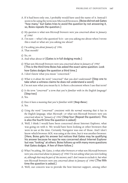- A. If it had been only one, I probably would have used the name of it. Instead I seem to be using the term non-Microsoft browsers. [Boise did not ask Gates "how many," but Gates tries to avoid the question by not answering it, so, Boies repeats the question.]
- *Q. My question is what non-Microsoft browsers were you concerned about in January of 1996?*
- A. I'm sure —what's the question? Is it—are you asking me about when I wrote this e-mail or what are you asking me about?
- *Q. I'm asking you about January of 1996.*
- A. That month?

*Q. Yes, sir.*

- A. And what about it? [Gates is in full dodging mode.]
- *Q. What non-Microsoft browsers were you concerned about in January of 1996?* [This is the third time Boies has asked the exact same question. Look how Gates dodges the question a third time.]
- A. I don't know what you mean "concerned."
- *Q. What is it about the word "concerned" that you don't understand?* [Step one to take when a witness claims he does not understand a word]
- A. I'm not sure what you mean by it. Is there a document where I use that term?
- *Q. Is the term "concerned" a term that you're familiar with in the English language?* [Step two]
- A. Yes.
- *Q. Does it have a meaning that you're familiar with?* **[Step three]**
- A. Yes.
- *Q. Using the word "concerned" consistent with the normal meaning that it has in the English language, what Microsoft—or what non-Microsoft browsers were you concerned about in "January of 1996?* [Step four (Repeat the question). This is also the fourth time the question is asked]
- A. Well, I think I would have been concerned about Internet Explorer, what was going on with it. We would have been looking at other browsers that were in use at the time. Certainly Navigator was one of those. And I don't know which browser AOL was using at the time, but it was another browser. [Here, Boies gets his answer but notices that Gates may be qualifying his answer because he says he was concerned about Internet Explorer but was "looking" at others. Boies follows up with many more questions that Gates dodges. A few of them follow.]
- *Q. What I'm asking, Mr. Gates, is what other browsers or what non-Microsoft browsers were you concerned about in January of 1996? I'm not asking what you were looking at, although that may be part of the answer, and I don't mean to exclude it, but what non-Microsoft browsers were you concerned about in January of 1996?* [The fifth time the question is asked.]
- A. Well, our concern was to provide the best Internet support, among other